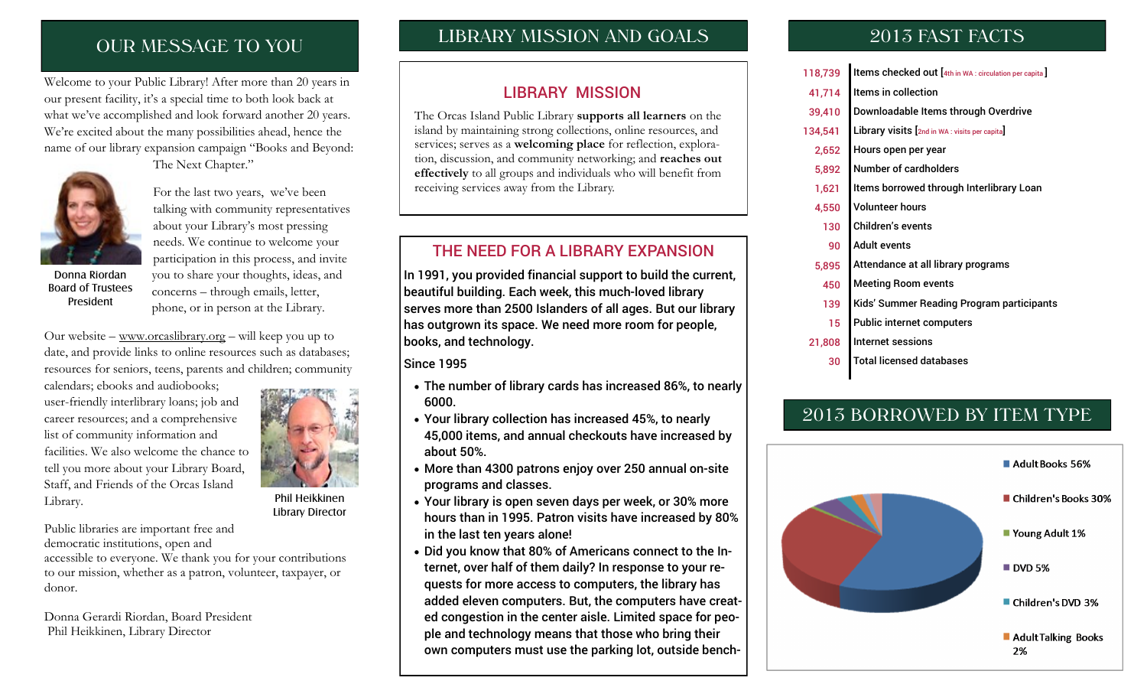# OUR MESSAGE TO YOU

Welcome to your Public Library! After more than 20 years in our present facility, it's a special time to both look back at what we've accomplished and look forward another 20 years. We're excited about the many possibilities ahead, hence the name of our library expansion campaign "Books and Beyond: The Next Chapter."



For the last two years, we've been talking with community representatives about your Library's most pressing needs. We continue to welcome your

Donna Riordan Board of Trustees President

participation in this process, and invite you to share your thoughts, ideas, and concerns – through emails, letter, phone, or in person at the Library.

Our website – [www.orcaslibrary.org](http://www.orcaslibrary.org) – will keep you up to date, and provide links to online resources such as databases; resources for seniors, teens, parents and children; community

calendars; ebooks and audiobooks; user-friendly interlibrary loans; job and career resources; and a comprehensive list of community information and facilities. We also welcome the chance to tell you more about your Library Board, Staff, and Friends of the Orcas Island Library.



Phil Heikkinen Library Director

Public libraries are important free and democratic institutions, open and accessible to everyone. We thank you for your contributions to our mission, whether as a patron, volunteer, taxpayer, or donor.

Donna Gerardi Riordan, Board President Phil Heikkinen, Library Director

## LIBRARY MISSION AND GOALS

#### LIBRARY MISSION

The Orcas Island Public Library **supports all learners** on the island by maintaining strong collections, online resources, and services; serves as a **welcoming place** for reflection, exploration, discussion, and community networking; and **reaches out effectively** to all groups and individuals who will benefit from receiving services away from the Library.

### THE NEED FOR A LIBRARY EXPANSION

In 1991, you provided financial support to build the current, beautiful building. Each week, this much-loved library serves more than 2500 Islanders of all ages. But our library has outgrown its space. We need more room for people, books, and technology.

Since 1995

- The number of library cards has increased 86%, to nearly 6000.
- Your library collection has increased 45%, to nearly 45,000 items, and annual checkouts have increased by about 50%.
- More than 4300 patrons enjoy over 250 annual on-site programs and classes.
- Your library is open seven days per week, or 30% more hours than in 1995. Patron visits have increased by 80% in the last ten years alone!
- Did you know that 80% of Americans connect to the Internet, over half of them daily? In response to your requests for more access to computers, the library has added eleven computers. But, the computers have created congestion in the center aisle. Limited space for people and technology means that those who bring their own computers must use the parking lot, outside bench-

## 2013 FAST FACTS

- 118,739 Items checked out [4th in WA : circulation per capita]
- 41,714 I Items in collection
- 39,410 Downloadable Items through Overdrive
- 134,541 Library visits [2nd in WA : visits per capita]
- 2,652 Hours open per year
- 5,892 Number of cardholders
- 1,621 Items borrowed through Interlibrary Loan
- 4,550 Volunteer hours
- 130 Children's events
- 90 Adult events
- 5,895 Attendance at all library programs
- 450 Meeting Room events
- 139 Kids' Summer Reading Program participants
- 15 Public internet computers
- 21,808 Internet sessions
	- 30 Total licensed databases

# 2013 BORROWED BY ITEM TYPE